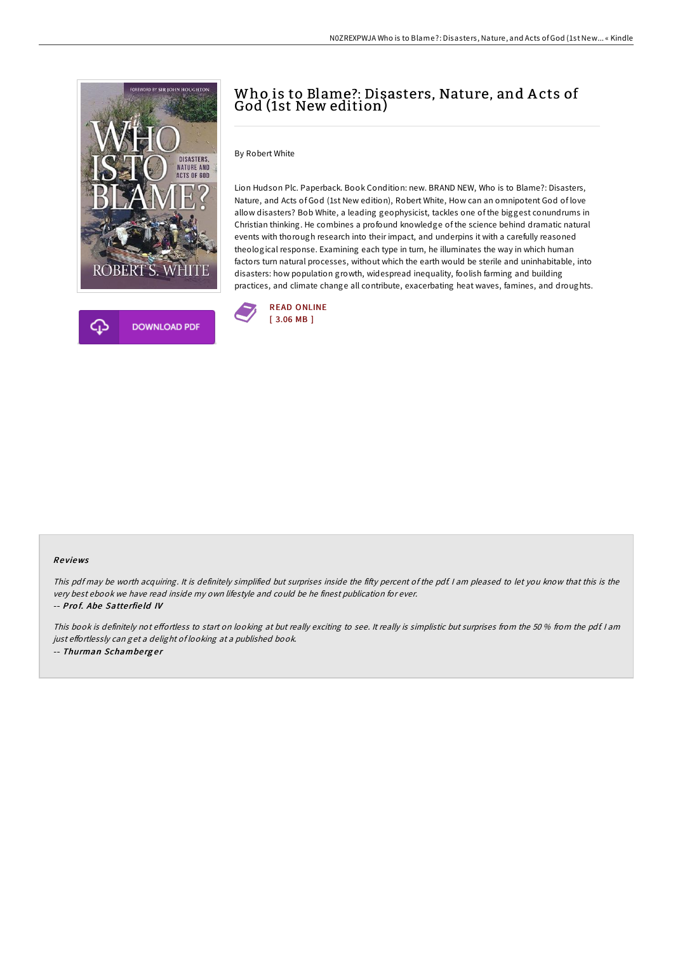

# Who is to Blame?: Disasters, Nature, and A cts of God (1st New edition)

By Robert White

Lion Hudson Plc. Paperback. Book Condition: new. BRAND NEW, Who is to Blame?: Disasters, Nature, and Acts of God (1st New edition), Robert White, How can an omnipotent God of love allow disasters? Bob White, a leading geophysicist, tackles one of the biggest conundrums in Christian thinking. He combines a profound knowledge of the science behind dramatic natural events with thorough research into their impact, and underpins it with a carefully reasoned theological response. Examining each type in turn, he illuminates the way in which human factors turn natural processes, without which the earth would be sterile and uninhabitable, into disasters: how population growth, widespread inequality, foolish farming and building practices, and climate change all contribute, exacerbating heat waves, famines, and droughts.



#### Re views

This pdf may be worth acquiring. It is definitely simplified but surprises inside the fifty percent of the pdf. I am pleased to let you know that this is the very best ebook we have read inside my own lifestyle and could be he finest publication for ever. -- Prof. Abe Satterfield IV

This book is definitely not effortless to start on looking at but really exciting to see. It really is simplistic but surprises from the 50 % from the pdf. I am just effortlessly can get a delight of looking at a published book. -- Thurman Schamberger